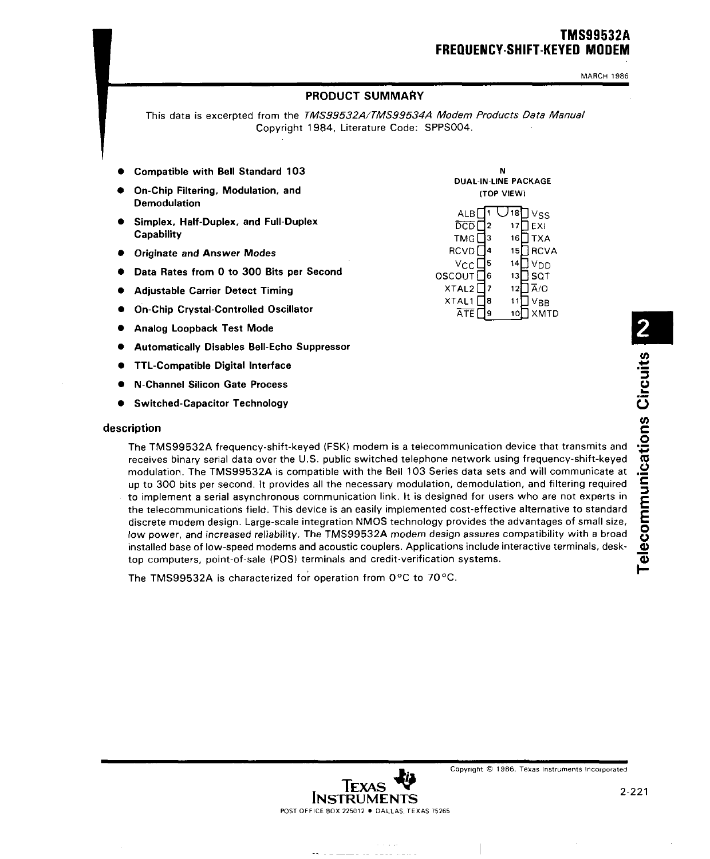# **TMS99532A FREQUENCY-SHIFT-KEYED MODEM**

**MARCH 1986** 

### PRODUCT SUMMARY

This data is excerpted from the TMS99532A/TMS99534A Modem Products Data Manual Copyright 1984, Literature Code: SPPS004.

|           | Compatible with Bell Standard 103                         | N                                                                               | <b>DUAL-IN-LINE PACKAGE</b> |  |
|-----------|-----------------------------------------------------------|---------------------------------------------------------------------------------|-----------------------------|--|
| $\bullet$ | On-Chip Filtering, Modulation, and<br><b>Demodulation</b> | (TOP VIEW)                                                                      |                             |  |
| ٠         | Simplex, Half-Duplex, and Full-Duplex<br>Capability       | ALB<br>18<br>Vss<br><b>DCD</b><br>12<br>EXI<br>17<br>TMG<br>16<br><b>ITXA</b>   |                             |  |
|           | <b>Originate and Answer Modes</b>                         | <b>RCVD</b><br><b>IRCVA</b><br>15 I                                             |                             |  |
|           | Data Rates from 0 to 300 Bits per Second                  | 14<br>15<br><sup>V</sup> cc<br>V <sub>DD</sub><br>OSCOUT<br>l so t<br>131<br>16 |                             |  |
|           | <b>Adjustable Carrier Detect Timing</b>                   | l⊼/o<br>XTAL2<br>12                                                             |                             |  |
|           | <b>On-Chip Crystal-Controlled Oscillator</b>              | XTAL1<br>18<br><b>V<sub>BB</sub></b><br>11<br>ATE<br><b>XMTD</b><br>19<br>10    |                             |  |
|           | Analog Loopback Test Mode                                 |                                                                                 |                             |  |
|           | <b>Automatically Disables Bell-Echo Suppressor</b>        |                                                                                 |                             |  |

- **TTL-Compatible Digital Interface**
- **N-Channel Silicon Gate Process**
- **Switched-Capacitor Technology**

#### description

The TMS99532A frequency-shift-keyed (FSK) modem is a telecommunication device that transmits and receives binary serial data over the U.S. public switched telephone network using frequency-shift-keyed modulation. The TMS99532A is compatible with the Bell 103 Series data sets and will communicate at up to 300 bits per second, It provides all the necessary modulation, demodulation, and filtering required to implement a serial asynchronous communication link. It is designed for users who are not experts in the telecommunications field. This device is an easily implemented cost-effective alternative to standard discrete modem design. Large-scale integration NMOS technology provides the advantages of small size, low power, and increased reliability. The TMS99532A modem design assures compatibility with a broad installed base of low-speed modems and acoustic couplers. Applications include interactive terminals, desktop computers, point-of-sale (POS) terminals and credit-verification systems.

The TMS99532A is characterized for operation from 0°C to 70°C.